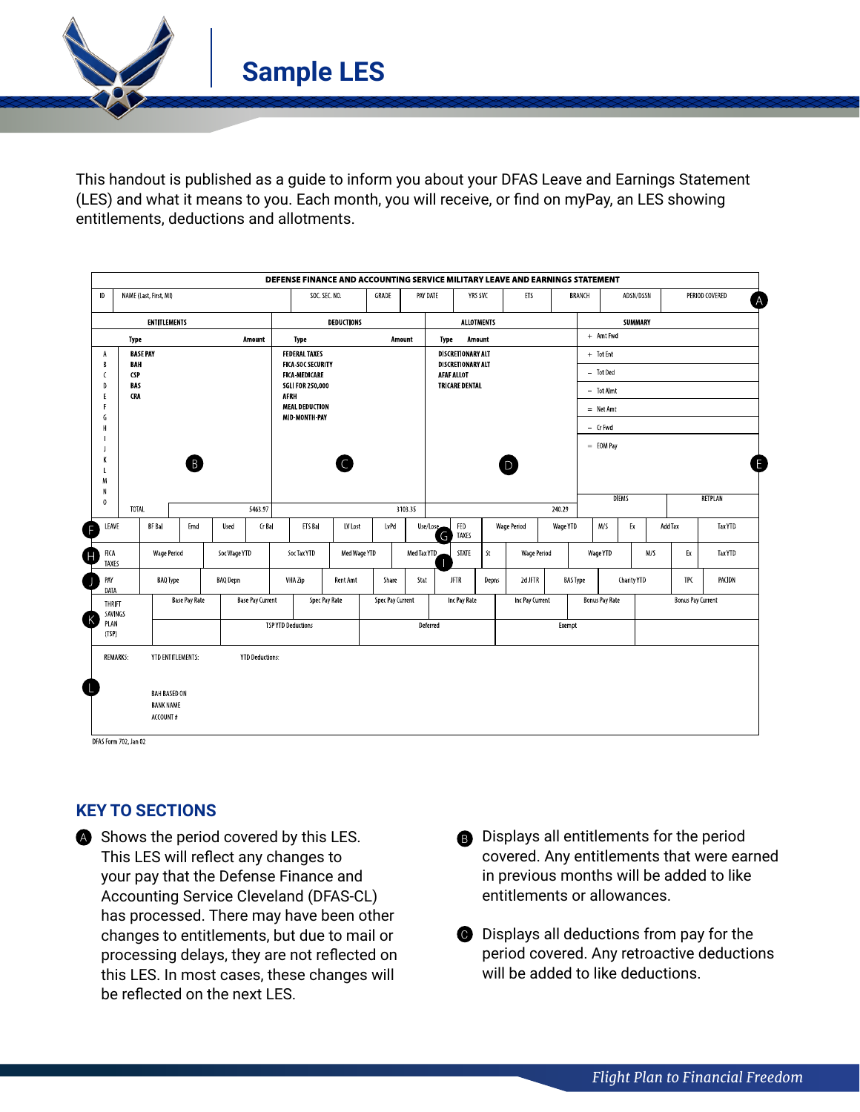**Sample LES**

This handout is published as a guide to inform you about your DFAS Leave and Earnings Statement (LES) and what it means to you. Each month, you will receive, or find on myPay, an LES showing entitlements, deductions and allotments.

| $\mathsf{D}$                               |                   | NAME (Last, First, MI)                  |      |                      |                         |                                                  | SOC. SEC. NO. | GRADE<br>PAY DATE |                  | YRS SVC                                       |                       | ETS                |          | <b>BRANCH</b>         | ADSN/DSSN    | PERIOD COVERED           |            |                |  |
|--------------------------------------------|-------------------|-----------------------------------------|------|----------------------|-------------------------|--------------------------------------------------|---------------|-------------------|------------------|-----------------------------------------------|-----------------------|--------------------|----------|-----------------------|--------------|--------------------------|------------|----------------|--|
| <b>ENTITLEMENTS</b>                        |                   |                                         |      |                      |                         |                                                  | DEDUCTIONS    |                   |                  | <b>ALLOTMENTS</b>                             |                       |                    |          | SUMMARY               |              |                          |            |                |  |
| Amount<br>Type                             |                   |                                         |      |                      | Type<br>Amount          |                                                  |               |                   | Amount<br>Type   |                                               |                       |                    |          | + Amt Fwd             |              |                          |            |                |  |
| A<br>B                                     | <b>BASE PAY</b>   |                                         |      |                      |                         | <b>FEDERAL TAXES</b><br><b>FICA SOC SECURITY</b> |               |                   |                  | <b>DISCRETIONARY ALT</b><br>DISCRETIONARY ALT |                       |                    |          | $+$ Tot Ent           |              |                          |            |                |  |
| $\epsilon$                                 | BAH<br><b>CSP</b> |                                         |      | <b>FICA-MEDICARE</b> |                         |                                                  |               | <b>AFAF ALLOT</b> |                  |                                               |                       | - Tot Ded          |          |                       |              |                          |            |                |  |
| $\mathsf{D}$<br>E                          | <b>BAS</b><br>CRA |                                         |      |                      |                         | <b>SGLI FOR 250,000</b><br><b>AFRH</b>           |               |                   |                  |                                               | <b>TRICARE DENTAL</b> |                    |          |                       | - Tot Almt   |                          |            |                |  |
|                                            |                   |                                         |      |                      |                         | <b>MEAL DEDUCTION</b>                            |               |                   |                  |                                               |                       |                    |          | $=$ Net Amt           |              |                          |            |                |  |
| G<br>Н                                     |                   |                                         |      |                      |                         | <b>MID MONTH PAY</b>                             |               |                   |                  |                                               |                       |                    |          | - Cr Fwd              |              |                          |            |                |  |
|                                            |                   |                                         |      |                      |                         |                                                  |               |                   |                  |                                               |                       |                    |          | $=$ EOM Pay           |              |                          |            |                |  |
| K                                          |                   |                                         |      |                      |                         |                                                  |               |                   |                  |                                               |                       |                    |          |                       |              |                          |            |                |  |
| M                                          |                   |                                         |      |                      |                         |                                                  |               |                   |                  |                                               |                       |                    |          |                       |              |                          |            |                |  |
| N<br>$\mathbf{0}$                          |                   |                                         |      |                      |                         |                                                  |               |                   |                  |                                               |                       |                    |          |                       | <b>DIEMS</b> |                          |            | RETPLAN        |  |
|                                            | TOTAL             |                                         |      |                      | 5463.97                 |                                                  |               |                   | 3103.35          |                                               |                       |                    | 240.29   |                       |              |                          |            |                |  |
| LEAVE                                      |                   | BF Ba                                   | Ernd | <b>Used</b>          | Cr Bal                  | ETS Ball                                         | LV Lost       | <b>LvPd</b>       | Use/Lose         | FED<br>TAXES<br>G                             |                       | <b>Wage Period</b> | Wage YTD | M/S                   | Ex           |                          | Add Tax    | <b>Tax YTD</b> |  |
| <b>FICA</b><br>TAXES                       |                   | <b>Wage Period</b>                      |      | Soc Wage YTD         |                         | Soc Tax YTD                                      | Med Wage YTD  |                   | Med Tax YTD      | STATE                                         | St                    | <b>Wage Period</b> |          | Wage YTD              |              | M/S                      | Ex         | <b>Tax YTD</b> |  |
| PAY                                        |                   | <b>BAQ</b> Type                         |      | <b>BAQ Depn</b>      |                         | VHA Zip                                          | Rent Amt      | Share             | Stat             | <b>JFTR</b>                                   | Depns                 | 2d JFTR            |          | <b>BAS Type</b>       | Charity YTD  |                          | <b>TPC</b> | PACIDN         |  |
| DATA<br>THRIFT<br>SAVINGS<br>PLAN<br>(TSP) |                   | <b>Base Pay Rate</b>                    |      |                      | <b>Base Pay Current</b> |                                                  | Spec Pay Rate |                   | Spec Pay Current | Inc Pay Rate                                  |                       | Inc Pay Current    |          | <b>Bonus Pay Rate</b> |              | <b>Bonus Pay Current</b> |            |                |  |
|                                            |                   |                                         |      |                      |                         | <b>TSPYTD Deductions</b>                         |               |                   |                  | Deferred                                      |                       | Exempt             |          |                       |              |                          |            |                |  |
|                                            |                   |                                         |      |                      |                         |                                                  |               |                   |                  |                                               |                       |                    |          |                       |              |                          |            |                |  |
| <b>REMARKS:</b>                            |                   | YTD ENTITLEMENTS:                       |      |                      | <b>YTD Deductions:</b>  |                                                  |               |                   |                  |                                               |                       |                    |          |                       |              |                          |            |                |  |
|                                            |                   |                                         |      |                      |                         |                                                  |               |                   |                  |                                               |                       |                    |          |                       |              |                          |            |                |  |
|                                            |                   | <b>BAH BASED ON</b><br><b>BANK NAME</b> |      |                      |                         |                                                  |               |                   |                  |                                               |                       |                    |          |                       |              |                          |            |                |  |
|                                            |                   | ACCOUNT #                               |      |                      |                         |                                                  |               |                   |                  |                                               |                       |                    |          |                       |              |                          |            |                |  |

## **KEY TO SECTIONS**

- Shows the period covered by this LES. This LES will reflect any changes to your pay that the Defense Finance and Accounting Service Cleveland (DFAS-CL) has processed. There may have been other changes to entitlements, but due to mail or processing delays, they are not reflected on this LES. In most cases, these changes will be reflected on the next LES. **A** Shows the period covered by this LES. **B** Displays all entitlements for the period
- covered. Any entitlements that were earned in previous months will be added to like entitlements or allowances.
	- **O** Displays all deductions from pay for the period covered. Any retroactive deductions will be added to like deductions.